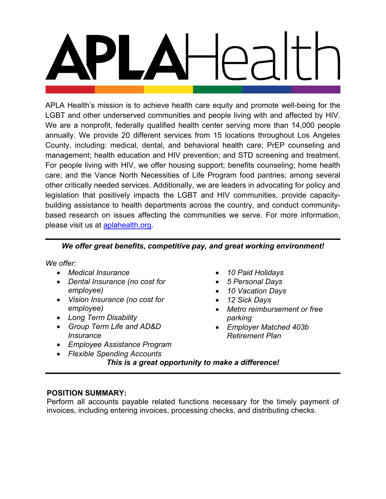APLA Health's mission is to achieve health care equity and promote well-being for the LGBT and other underserved communities and people living with and affected by HIV. We are a nonprofit, federally qualified health center serving more than 14,000 people annually. We provide 20 different services from 15 locations throughout Los Angeles County, including: medical, dental, and behavioral health care; PrEP counseling and management; health education and HIV prevention; and STD screening and treatment. For people living with HIV, we offer housing support; benefits counseling; home health care; and the Vance North Necessities of Life Program food pantries; among several other critically needed services. Additionally, we are leaders in advocating for policy and legislation that positively impacts the LGBT and HIV communities, provide capacitybuilding assistance to health departments across the country, and conduct communitybased research on issues affecting the communities we serve. For more information, please visit us at **aplahealth.org**.

# *We offer great benefits, competitive pay, and great working environment!*

*We offer:*

- *Medical Insurance*
- *Dental Insurance (no cost for employee)*
- *Vision Insurance (no cost for employee)*
- *Long Term Disability*
- *Group Term Life and AD&D Insurance*
- *Employee Assistance Program*
- *Flexible Spending Accounts*
- *10 Paid Holidays*
- *5 Personal Days*
- *10 Vacation Days*
- *12 Sick Days*
- *Metro reimbursement or free parking*
- *Employer Matched 403b Retirement Plan*

*This is a great opportunity to make a difference!*

## **POSITION SUMMARY:**

Perform all accounts payable related functions necessary for the timely payment of invoices, including entering invoices, processing checks, and distributing checks.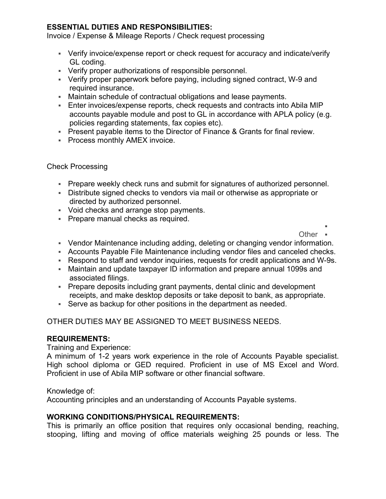## **ESSENTIAL DUTIES AND RESPONSIBILITIES:**

Invoice / Expense & Mileage Reports / Check request processing

- Verify invoice/expense report or check request for accuracy and indicate/verify GL coding.
- Verify proper authorizations of responsible personnel.
- Verify proper paperwork before paying, including signed contract, W-9 and required insurance.
- Maintain schedule of contractual obligations and lease payments.
- Enter invoices/expense reports, check requests and contracts into Abila MIP accounts payable module and post to GL in accordance with APLA policy (e.g. policies regarding statements, fax copies etc).
- Present payable items to the Director of Finance & Grants for final review.
- **Process monthly AMEX invoice.**

### Check Processing

- Prepare weekly check runs and submit for signatures of authorized personnel.
- Distribute signed checks to vendors via mail or otherwise as appropriate or directed by authorized personnel.
- Void checks and arrange stop payments.
- **Prepare manual checks as required.**

E

Other **-**

- Vendor Maintenance including adding, deleting or changing vendor information.
- Accounts Payable File Maintenance including vendor files and canceled checks.
- Respond to staff and vendor inquiries, requests for credit applications and W-9s.
- Maintain and update taxpayer ID information and prepare annual 1099s and associated filings.
- Prepare deposits including grant payments, dental clinic and development receipts, and make desktop deposits or take deposit to bank, as appropriate.
- Serve as backup for other positions in the department as needed.

## OTHER DUTIES MAY BE ASSIGNED TO MEET BUSINESS NEEDS.

### **REQUIREMENTS:**

Training and Experience:

A minimum of 1-2 years work experience in the role of Accounts Payable specialist. High school diploma or GED required. Proficient in use of MS Excel and Word. Proficient in use of Abila MIP software or other financial software.

Knowledge of:

Accounting principles and an understanding of Accounts Payable systems.

## **WORKING CONDITIONS/PHYSICAL REQUIREMENTS:**

This is primarily an office position that requires only occasional bending, reaching, stooping, lifting and moving of office materials weighing 25 pounds or less. The